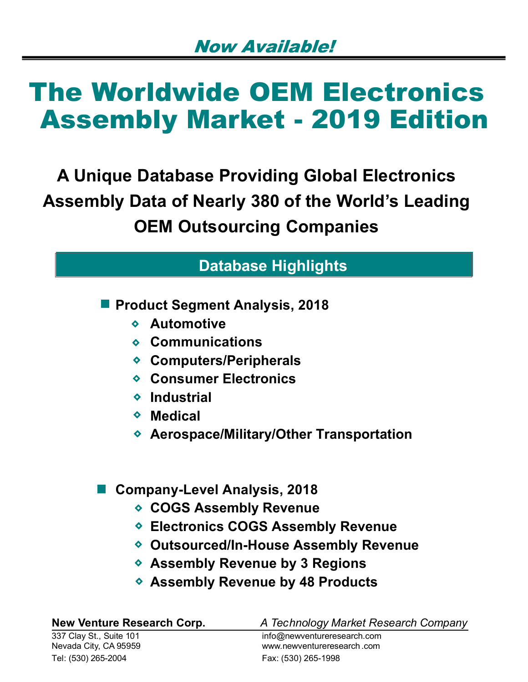A Unique Database Providing Global Electronics Assembly Data of Nearly 380 of the World's Leading OEM Outsourcing Companies

### Database Highlights

**Product Segment Analysis, 2018** 

- Automotive
- Communications
- ◆ Computers/Peripherals
- ◆ Consumer Electronics
- **◆ Industrial**
- Medical
- ◆ Aerospace/Military/Other Transportation

### Company-Level Analysis, 2018

- ◆ COGS Assembly Revenue
- Electronics COGS Assembly Revenue
- Outsourced/In-House Assembly Revenue
- ◆ Assembly Revenue by 3 Regions
- ◆ Assembly Revenue by 48 Products

337 Clay St., Suite 101 info@newventureresearch.com ◆ Aerospace/Military/Other Transportation<br>
● Company-Level Analysis, 2018<br>
→ COGS Assembly Revenue<br>
→ Electronics COGS Assembly Revenue<br>
→ Outsourced/In-House Assembly Revenue<br>
→ Assembly Revenue by 3 Regions<br>
→ Assembl Tel: (530) 265-2004 Fax: (530) 265-1998

New Venture Research Corp. **A** Technology Market Research Company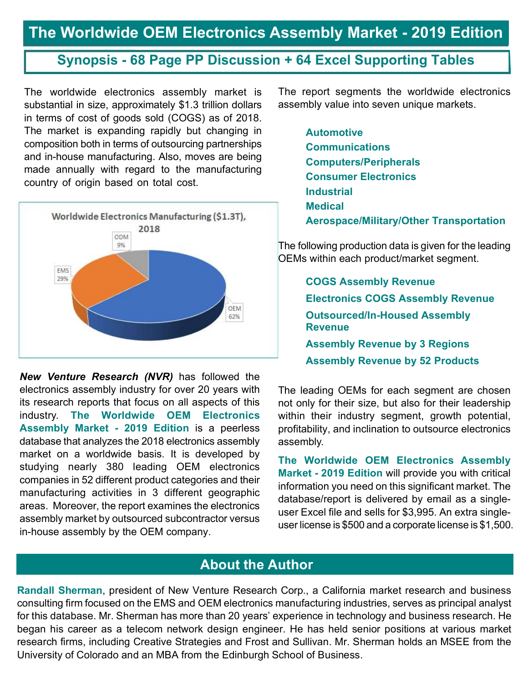### Synopsis - 68 Page PP Discussion + 64 Excel Supporting Tables

The worldwide electronics assembly market is substantial in size, approximately \$1.3 trillion dollars in terms of cost of goods sold (COGS) as of 2018. The market is expanding rapidly but changing in composition both in terms of outsourcing partnerships and in-house manufacturing. Also, moves are being made annually with regard to the manufacturing country of origin based on total cost.



New Venture Research (NVR) has followed the electronics assembly industry for over 20 years with its research reports that focus on all aspects of this industry. The Worldwide OEM Electronics Assembly Market - 2019 Edition is a peerless database that analyzes the 2018 electronics assembly market on a worldwide basis. It is developed by studying nearly 380 leading OEM electronics companies in 52 different product categories and their manufacturing activities in 3 different geographic areas. Moreover, the report examines the electronics assembly market by outsourced subcontractor versus in-house assembly by the OEM company.

The report segments the worldwide electronics assembly value into seven unique markets.

> Automotive **Communications** Computers/Peripherals Consumer Electronics Industrial Medical Aerospace/Military/Other Transportation

The following production data is given for the leading OEMs within each product/market segment.

> COGS Assembly Revenue Electronics COGS Assembly Revenue Outsourced/In-Housed Assembly **Revenue** Assembly Revenue by 3 Regions Assembly Revenue by 52 Products

The leading OEMs for each segment are chosen not only for their size, but also for their leadership within their industry segment, growth potential, profitability, and inclination to outsource electronics assembly.

The Worldwide OEM Electronics Assembly Market - 2019 Edition will provide you with critical information you need on this significant market. The database/report is delivered by email as a singleuser Excel file and sells for \$3,995. An extra singleuser license is \$500 and a corporate license is \$1,500.

### About the Author

Randall Sherman, president of New Venture Research Corp., a California market research and business consulting firm focused on the EMS and OEM electronics manufacturing industries, serves as principal analyst for this database. Mr. Sherman has more than 20 years' experience in technology and business research. He began his career as a telecom network design engineer. He has held senior positions at various market research firms, including Creative Strategies and Frost and Sullivan. Mr. Sherman holds an MSEE from the University of Colorado and an MBA from the Edinburgh School of Business.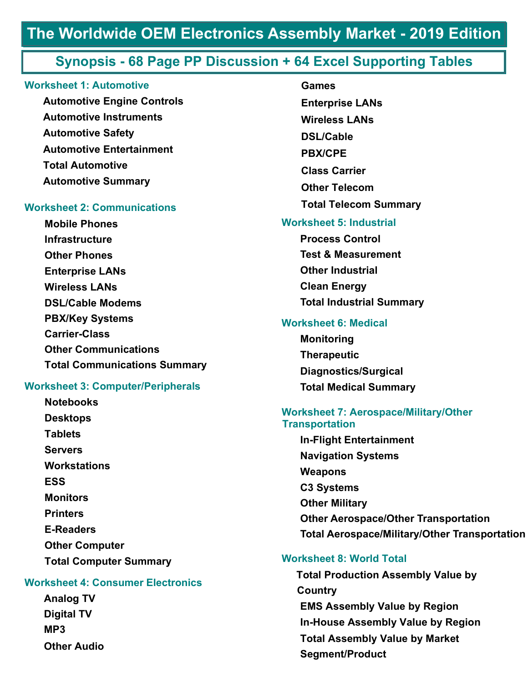### Synopsis - 68 Page PP Discussion + 64 Excel Supporting Tables

#### Worksheet 1: Automotive

Automotive Engine Controls Automotive Instruments Automotive Safety Automotive Entertainment Total Automotive Automotive Summary

#### Worksheet 2: Communications

Mobile Phones Infrastructure Other Phones Enterprise LANs Wireless LANs DSL/Cable Modems PBX/Key Systems Carrier-Class Other Communications Total Communications Summary

#### Worksheet 3: Computer/Peripherals

**Notebooks** Desktops **Tablets** Servers **Workstations** ESS **Example 20 Monitors Printers** E-Readers Other Computer Total Computer Summary

#### Worksheet 4: Consumer Electronics

Analog TV Digital TV MP3 and the contract of the contract of the contract of the contract of the contract of the contract of the contract of the contract of the contract of the contract of the contract of the contract of the contract of the co Other Audio

Worksheet 5: Industrial Process Control Test & Measurement Other Industrial Clean Energy Games Enterprise LANs Wireless LANs DSL/Cable PBX/CPE Class Carrier Other Telecom Total Telecom Summary

Total Industrial Summary

#### Worksheet 6: Medical

Monitoring **Therapeutic** Diagnostics/Surgical Total Medical Summary

#### Worksheet 7: Aerospace/Military/Other **Transportation**

In-Flight Entertainment Navigation Systems Weapons C3 Systems Other Military Other Aerospace/Other Transportation Total Aerospace/Military/Other Transportation

#### Worksheet 8: World Total

Total Production Assembly Value by Country EMS Assembly Value by Region In-House Assembly Value by Region Total Assembly Value by Market Segment/Product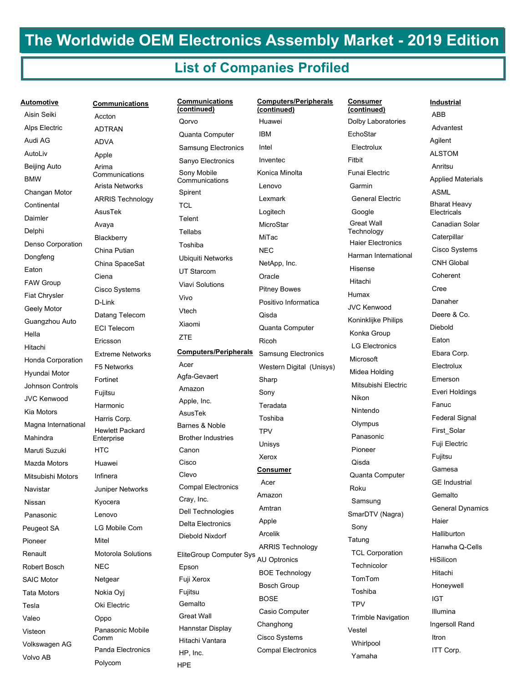#### List of Companies Profiled

| Automotive              | <b>Communications</b>         | <b>Communications</b><br>(continued) | Computers/Pe<br>(continued) |
|-------------------------|-------------------------------|--------------------------------------|-----------------------------|
| Aisin Seiki             | Accton                        | Qorvo                                | Huawei                      |
| Alps Electric           | <b>ADTRAN</b>                 | Quanta Computer                      | <b>IBM</b>                  |
| Audi AG                 | <b>ADVA</b>                   | Samsung Electronics                  | Intel                       |
| AutoLiv                 | Apple                         | Sanyo Electronics                    | Inventec                    |
| Beijing Auto            | Arima<br>Communications       | Sony Mobile                          | Konica Minolta              |
| <b>BMW</b>              | Arista Networks               | Communications                       | Lenovo                      |
| Changan Motor           | <b>ARRIS Technology</b>       | Spirent                              | Lexmark                     |
| Continental             | AsusTek                       | TCL                                  | Logitech                    |
| Daimler                 |                               | Telent                               | MicroStar                   |
| Delphi                  | Avaya                         | Tellabs                              | MiTac                       |
| Denso Corporation       | Blackberry                    | Toshiba                              | <b>NEC</b>                  |
| Dongfeng                | China Putian                  | Ubiquiti Networks                    |                             |
| Eaton                   | China SpaceSat                | <b>UT Starcom</b>                    | NetApp, Inc.                |
| <b>FAW Group</b>        | Ciena                         | <b>Viavi Solutions</b>               | Oracle                      |
| <b>Fiat Chrysler</b>    | Cisco Systems                 | Vivo                                 | <b>Pitney Bowes</b>         |
| Geely Motor             | D-Link                        | Vtech                                | Positivo Inforn             |
| Guangzhou Auto          | Datang Telecom                | Xiaomi                               | Qisda                       |
| Hella                   | <b>ECI Telecom</b>            | <b>ZTE</b>                           | Quanta Comp                 |
| Hitachi                 | Ericsson                      |                                      | <b>Ricoh</b>                |
| Honda Corporation       | <b>Extreme Networks</b>       | <b>Computers/Peripherals</b>         | Samsung Eleo                |
| Hyundai Motor           | F5 Networks                   | Acer                                 | Western Digita              |
| <b>Johnson Controls</b> | Fortinet                      | Agfa-Gevaert                         | Sharp                       |
| <b>JVC Kenwood</b>      | Fujitsu                       | Amazon                               | Sony                        |
| Kia Motors              | Harmonic                      | Apple, Inc.<br>AsusTek               | Teradata                    |
| Magna International     | Harris Corp.                  | Barnes & Noble                       | Toshiba                     |
| Mahindra                | Hewlett Packard<br>Enterprise | <b>Brother Industries</b>            | <b>TPV</b>                  |
| Maruti Suzuki           | HTC                           | Canon                                | Unisys                      |
| Mazda Motors            | Huawei                        | Cisco                                | Xerox                       |
| Mitsubishi Motors       | Infinera                      | Clevo                                | Consumer                    |
|                         | Juniper Networks              | <b>Compal Electronics</b>            | Acer                        |
| Navistar                |                               | Cray, Inc.                           | Amazon                      |
| Nissan                  | Kyocera                       | Dell Technologies                    | Amtran                      |
| Panasonic               | Lenovo                        | <b>Delta Electronics</b>             | Apple                       |
| Peugeot SA              | LG Mobile Com                 | Diebold Nixdorf                      | Arcelik                     |
| Pioneer                 | Mitel                         |                                      | <b>ARRIS Techn</b>          |
| Renault                 | Motorola Solutions            | EliteGroup Computer Sys              | <b>AU Optronics</b>         |
| Robert Bosch            | NEC                           | Epson                                | <b>BOE Technold</b>         |
| <b>SAIC Motor</b>       | Netgear                       | Fuji Xerox                           | Bosch Group                 |
| Tata Motors             | Nokia Oyj                     | Fujitsu                              | <b>BOSE</b>                 |
| Tesla                   | Oki Electric                  | Gemalto                              | Casio Comput                |
| Valeo                   | Oppo                          | Great Wall                           | Changhong                   |
| Visteon                 | Panasonic Mobile<br>Comm      | Hannstar Display                     | Cisco Systems               |
| Volkswagen AG           | Panda Electronics             | Hitachi Vantara                      | Compal Electro              |
| Volvo AB                | D <sub>0</sub>                | HP, Inc.                             |                             |

Computers/Peripherals Acer Agfa-Gevaert Amazon Apple, Inc. AsusTek Barnes & Noble Brother Industries Canon Cisco Clevo Compal Electronics Cray, Inc. Dell Technologies Delta Electronics Diebold Nixdorf EliteGroup Computer Sys Epson Fuji Xerox Fujitsu **Gemalto**  Great Wall Hannstar Display Hitachi Vantara HP, Inc. HPE Changan Motor ARRIS Technology Magna International Hewlett Packard Navistar Juniper Networks Peugeot SA LG Mobile Com Della Liection Renault Motorola Solutions EliteGroup Comp Tesla Oki Electric Visteon Panasonic Mobile Volkswagen AG Panda Electronics Volvo AB Polycom Extreme Networks Qorvo Quanta Computer Samsung Electronics Sanyo Electronics Sony Mobile Communications Spirent **TCL Telent**  Tellabs Toshiba Ubiquiti Networks UT Starcom Viavi Solutions Vivo Vtech Xiaomi **ZTE** 

#### Communications Computers/Peripherals (continued) (continued) Huawei IBM Intel Inventec Konica Minolta Lenovo Lexmark Logitech **MicroStar**  MiTac NEC NetApp, Inc. **Oracle**  Pitney Bowes Positivo Informatica Qisda Quanta Computer Ricoh Samsung Electronics Western Digital (Unisys) Sharp Sony Teradata Toshiba **TPV**  Unisys Xerox **Consumer**  Acer Amazon Amtran Apple Arcelik ARRIS Technology AU Optronics BOE Technology Bosch Group BOSE Casio Computer Changhong Cisco Systems Compal Electronics

(continued) Dolby Laboratories EchoStar Electrolux<br>ALSTOM Fitbit Funai Electric Garmin General Electric Google Great Wall **Technology**  Haier Electronics Harman International Hisense Hitachi Humax JVC Kenwood Koninklijke Philips Konka Group LG Electronics Microsoft Midea Holding Mitsubishi Electric Nikon Nintendo **Olympus**  Panasonic Pioneer Qisda Quanta Computer Roku Samsung SmarDTV (Nagra) Sony Tatung TCL Corporation **Technicolor**  TomTom Toshiba **TPV**  Trimble Navigation Vestel Whirlpool Yamaha

#### **Consumer Exercise Industrial**

 ABB Advantest Agilent ALSTOM Anritsu Applied Materials ASML Bharat Heavy Electricals Canadian Solar **Caterpillar**  Cisco Systems CNH Global Coherent Cree Danaher Deere & Co. Diebold Eaton Ebara Corp. Electrolux Emerson Everi Holdings Fanuc Federal Signal First\_Solar Fuji Electric Fujitsu Gamesa GE Industrial **Gemalto**  General Dynamics Haier Halliburton Hanwha Q-Cells **HiSilicon**  Hitachi Honeywell IGT Illumina Ingersoll Rand Itron ITT Corp.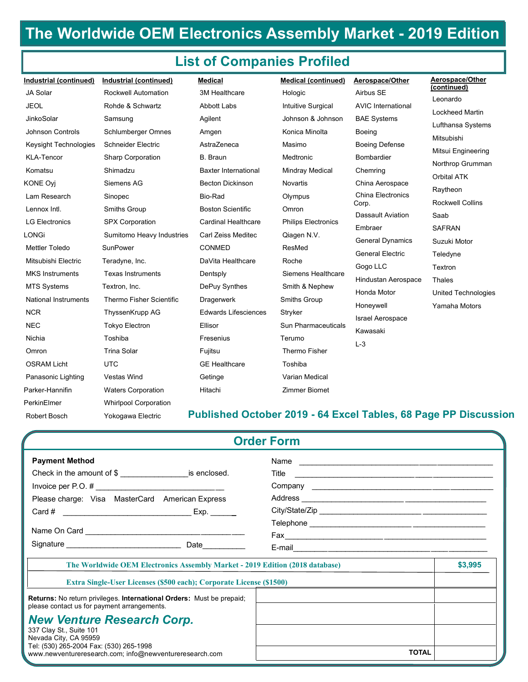### List of Companies Profiled

| (continued)<br><b>JA Solar</b><br><b>Rockwell Automation</b><br>3M Healthcare<br>Airbus SE<br>Hologic<br>Leonardo<br><b>JEOL</b><br>Rohde & Schwartz<br>Abbott Labs<br><b>Intuitive Surgical</b><br><b>AVIC International</b><br><b>Lockheed Martin</b><br>JinkoSolar<br>Johnson & Johnson<br>Samsung<br>Agilent<br><b>BAE Systems</b><br>Lufthansa Systems<br>Johnson Controls<br><b>Schlumberger Omnes</b><br>Konica Minolta<br>Amgen<br>Boeing<br>Mitsubishi<br>AstraZeneca<br>Keysight Technologies<br>Schneider Electric<br>Masimo<br><b>Boeing Defense</b><br>Mitsui Engineering<br><b>KLA-Tencor</b><br><b>Sharp Corporation</b><br><b>B.</b> Braun<br>Medtronic<br><b>Bombardier</b><br>Northrop Grumman<br>Komatsu<br>Shimadzu<br><b>Baxter International</b><br><b>Mindray Medical</b><br>Chemring<br>Orbital ATK<br>Siemens AG<br><b>Becton Dickinson</b><br>China Aerospace<br>Novartis<br>Raytheon<br>China Electronics<br>Lam Research<br>Bio-Rad<br>Sinopec<br>Olympus<br><b>Rockwell Collins</b><br>Corp.<br><b>Boston Scientific</b><br>Smiths Group<br>Lennox Intl.<br>Omron<br><b>Dassault Aviation</b><br>Saab<br><b>SPX Corporation</b><br><b>Cardinal Healthcare</b><br><b>Philips Electronics</b><br><b>LG Electronics</b><br>Embraer<br><b>SAFRAN</b><br>Sumitomo Heavy Industries<br>Carl Zeiss Meditec<br>Qiagen N.V.<br><b>General Dynamics</b><br>Suzuki Motor<br><b>Mettler Toledo</b><br>SunPower<br><b>CONMED</b><br><b>ResMed</b><br><b>General Electric</b><br>Teledyne<br>Mitsubishi Electric<br>DaVita Healthcare<br>Roche<br>Teradyne, Inc.<br>Gogo LLC<br>Textron<br><b>MKS</b> Instruments<br>Siemens Healthcare<br><b>Texas Instruments</b><br>Dentsply<br>Hindustan Aerospace<br>Thales<br><b>MTS Systems</b><br>DePuy Synthes<br>Smith & Nephew<br>Textron, Inc.<br>Honda Motor<br>United Technologies<br><b>National Instruments</b><br>Thermo Fisher Scientific<br>Dragerwerk<br>Smiths Group<br>Honeywell<br>Yamaha Motors<br><b>NCR</b><br>ThyssenKrupp AG<br><b>Edwards Lifesciences</b><br>Stryker<br><b>Israel Aerospace</b><br><b>NEC</b><br><b>Tokyo Electron</b><br>Ellisor<br>Sun Pharmaceuticals<br>Kawasaki<br>Toshiba<br>Fresenius<br>Terumo<br>Nichia<br>$L-3$<br><b>Trina Solar</b><br>Thermo Fisher<br>Fujitsu<br>Omron<br><b>OSRAM Licht</b><br><b>UTC</b><br><b>GE</b> Healthcare<br>Toshiba<br>Vestas Wind<br>Varian Medical<br>Panasonic Lighting<br>Getinge<br>Zimmer Biomet<br>Parker-Hannifin<br><b>Waters Corporation</b><br>Hitachi<br>PerkinElmer<br><b>Whirlpool Corporation</b><br>Robert Bosch<br>Yokogawa Electric<br><b>Order Form</b><br><b>Payment Method</b><br>Name and the contract of the contract of the contract of the contract of the contract of the contract of the contract of the contract of the contract of the contract of the contract of the contract of the contract of the c<br>Check in the amount of $\$\$ is enclosed.<br>Please charge: Visa MasterCard American Express<br>Exp. | Industrial (continued) | Industrial (continued) | <b>Medical</b> | Medical (continued) | Aerospace/Other | Aerospace/Other |
|------------------------------------------------------------------------------------------------------------------------------------------------------------------------------------------------------------------------------------------------------------------------------------------------------------------------------------------------------------------------------------------------------------------------------------------------------------------------------------------------------------------------------------------------------------------------------------------------------------------------------------------------------------------------------------------------------------------------------------------------------------------------------------------------------------------------------------------------------------------------------------------------------------------------------------------------------------------------------------------------------------------------------------------------------------------------------------------------------------------------------------------------------------------------------------------------------------------------------------------------------------------------------------------------------------------------------------------------------------------------------------------------------------------------------------------------------------------------------------------------------------------------------------------------------------------------------------------------------------------------------------------------------------------------------------------------------------------------------------------------------------------------------------------------------------------------------------------------------------------------------------------------------------------------------------------------------------------------------------------------------------------------------------------------------------------------------------------------------------------------------------------------------------------------------------------------------------------------------------------------------------------------------------------------------------------------------------------------------------------------------------------------------------------------------------------------------------------------------------------------------------------------------------------------------------------------------------------------------------------------------------------------------------------------------------------------------------------------------------------------------------------------------------------------------------------------------------------------------------------------------------------------------------------------------------------------------------------------------------|------------------------|------------------------|----------------|---------------------|-----------------|-----------------|
|                                                                                                                                                                                                                                                                                                                                                                                                                                                                                                                                                                                                                                                                                                                                                                                                                                                                                                                                                                                                                                                                                                                                                                                                                                                                                                                                                                                                                                                                                                                                                                                                                                                                                                                                                                                                                                                                                                                                                                                                                                                                                                                                                                                                                                                                                                                                                                                                                                                                                                                                                                                                                                                                                                                                                                                                                                                                                                                                                                                    |                        |                        |                |                     |                 |                 |
|                                                                                                                                                                                                                                                                                                                                                                                                                                                                                                                                                                                                                                                                                                                                                                                                                                                                                                                                                                                                                                                                                                                                                                                                                                                                                                                                                                                                                                                                                                                                                                                                                                                                                                                                                                                                                                                                                                                                                                                                                                                                                                                                                                                                                                                                                                                                                                                                                                                                                                                                                                                                                                                                                                                                                                                                                                                                                                                                                                                    |                        |                        |                |                     |                 |                 |
|                                                                                                                                                                                                                                                                                                                                                                                                                                                                                                                                                                                                                                                                                                                                                                                                                                                                                                                                                                                                                                                                                                                                                                                                                                                                                                                                                                                                                                                                                                                                                                                                                                                                                                                                                                                                                                                                                                                                                                                                                                                                                                                                                                                                                                                                                                                                                                                                                                                                                                                                                                                                                                                                                                                                                                                                                                                                                                                                                                                    |                        |                        |                |                     |                 |                 |
|                                                                                                                                                                                                                                                                                                                                                                                                                                                                                                                                                                                                                                                                                                                                                                                                                                                                                                                                                                                                                                                                                                                                                                                                                                                                                                                                                                                                                                                                                                                                                                                                                                                                                                                                                                                                                                                                                                                                                                                                                                                                                                                                                                                                                                                                                                                                                                                                                                                                                                                                                                                                                                                                                                                                                                                                                                                                                                                                                                                    |                        |                        |                |                     |                 |                 |
|                                                                                                                                                                                                                                                                                                                                                                                                                                                                                                                                                                                                                                                                                                                                                                                                                                                                                                                                                                                                                                                                                                                                                                                                                                                                                                                                                                                                                                                                                                                                                                                                                                                                                                                                                                                                                                                                                                                                                                                                                                                                                                                                                                                                                                                                                                                                                                                                                                                                                                                                                                                                                                                                                                                                                                                                                                                                                                                                                                                    |                        |                        |                |                     |                 |                 |
| Published October 2019 - 64 Excel Tables, 68 Page PP Discussion                                                                                                                                                                                                                                                                                                                                                                                                                                                                                                                                                                                                                                                                                                                                                                                                                                                                                                                                                                                                                                                                                                                                                                                                                                                                                                                                                                                                                                                                                                                                                                                                                                                                                                                                                                                                                                                                                                                                                                                                                                                                                                                                                                                                                                                                                                                                                                                                                                                                                                                                                                                                                                                                                                                                                                                                                                                                                                                    |                        |                        |                |                     |                 |                 |
|                                                                                                                                                                                                                                                                                                                                                                                                                                                                                                                                                                                                                                                                                                                                                                                                                                                                                                                                                                                                                                                                                                                                                                                                                                                                                                                                                                                                                                                                                                                                                                                                                                                                                                                                                                                                                                                                                                                                                                                                                                                                                                                                                                                                                                                                                                                                                                                                                                                                                                                                                                                                                                                                                                                                                                                                                                                                                                                                                                                    |                        |                        |                |                     |                 |                 |
|                                                                                                                                                                                                                                                                                                                                                                                                                                                                                                                                                                                                                                                                                                                                                                                                                                                                                                                                                                                                                                                                                                                                                                                                                                                                                                                                                                                                                                                                                                                                                                                                                                                                                                                                                                                                                                                                                                                                                                                                                                                                                                                                                                                                                                                                                                                                                                                                                                                                                                                                                                                                                                                                                                                                                                                                                                                                                                                                                                                    | <b>KONE Oyj</b>        |                        |                |                     |                 |                 |
|                                                                                                                                                                                                                                                                                                                                                                                                                                                                                                                                                                                                                                                                                                                                                                                                                                                                                                                                                                                                                                                                                                                                                                                                                                                                                                                                                                                                                                                                                                                                                                                                                                                                                                                                                                                                                                                                                                                                                                                                                                                                                                                                                                                                                                                                                                                                                                                                                                                                                                                                                                                                                                                                                                                                                                                                                                                                                                                                                                                    |                        |                        |                |                     |                 |                 |
|                                                                                                                                                                                                                                                                                                                                                                                                                                                                                                                                                                                                                                                                                                                                                                                                                                                                                                                                                                                                                                                                                                                                                                                                                                                                                                                                                                                                                                                                                                                                                                                                                                                                                                                                                                                                                                                                                                                                                                                                                                                                                                                                                                                                                                                                                                                                                                                                                                                                                                                                                                                                                                                                                                                                                                                                                                                                                                                                                                                    |                        |                        |                |                     |                 |                 |
|                                                                                                                                                                                                                                                                                                                                                                                                                                                                                                                                                                                                                                                                                                                                                                                                                                                                                                                                                                                                                                                                                                                                                                                                                                                                                                                                                                                                                                                                                                                                                                                                                                                                                                                                                                                                                                                                                                                                                                                                                                                                                                                                                                                                                                                                                                                                                                                                                                                                                                                                                                                                                                                                                                                                                                                                                                                                                                                                                                                    |                        |                        |                |                     |                 |                 |
|                                                                                                                                                                                                                                                                                                                                                                                                                                                                                                                                                                                                                                                                                                                                                                                                                                                                                                                                                                                                                                                                                                                                                                                                                                                                                                                                                                                                                                                                                                                                                                                                                                                                                                                                                                                                                                                                                                                                                                                                                                                                                                                                                                                                                                                                                                                                                                                                                                                                                                                                                                                                                                                                                                                                                                                                                                                                                                                                                                                    | LONGi                  |                        |                |                     |                 |                 |
|                                                                                                                                                                                                                                                                                                                                                                                                                                                                                                                                                                                                                                                                                                                                                                                                                                                                                                                                                                                                                                                                                                                                                                                                                                                                                                                                                                                                                                                                                                                                                                                                                                                                                                                                                                                                                                                                                                                                                                                                                                                                                                                                                                                                                                                                                                                                                                                                                                                                                                                                                                                                                                                                                                                                                                                                                                                                                                                                                                                    |                        |                        |                |                     |                 |                 |
|                                                                                                                                                                                                                                                                                                                                                                                                                                                                                                                                                                                                                                                                                                                                                                                                                                                                                                                                                                                                                                                                                                                                                                                                                                                                                                                                                                                                                                                                                                                                                                                                                                                                                                                                                                                                                                                                                                                                                                                                                                                                                                                                                                                                                                                                                                                                                                                                                                                                                                                                                                                                                                                                                                                                                                                                                                                                                                                                                                                    |                        |                        |                |                     |                 |                 |
|                                                                                                                                                                                                                                                                                                                                                                                                                                                                                                                                                                                                                                                                                                                                                                                                                                                                                                                                                                                                                                                                                                                                                                                                                                                                                                                                                                                                                                                                                                                                                                                                                                                                                                                                                                                                                                                                                                                                                                                                                                                                                                                                                                                                                                                                                                                                                                                                                                                                                                                                                                                                                                                                                                                                                                                                                                                                                                                                                                                    |                        |                        |                |                     |                 |                 |
|                                                                                                                                                                                                                                                                                                                                                                                                                                                                                                                                                                                                                                                                                                                                                                                                                                                                                                                                                                                                                                                                                                                                                                                                                                                                                                                                                                                                                                                                                                                                                                                                                                                                                                                                                                                                                                                                                                                                                                                                                                                                                                                                                                                                                                                                                                                                                                                                                                                                                                                                                                                                                                                                                                                                                                                                                                                                                                                                                                                    |                        |                        |                |                     |                 |                 |
|                                                                                                                                                                                                                                                                                                                                                                                                                                                                                                                                                                                                                                                                                                                                                                                                                                                                                                                                                                                                                                                                                                                                                                                                                                                                                                                                                                                                                                                                                                                                                                                                                                                                                                                                                                                                                                                                                                                                                                                                                                                                                                                                                                                                                                                                                                                                                                                                                                                                                                                                                                                                                                                                                                                                                                                                                                                                                                                                                                                    |                        |                        |                |                     |                 |                 |
|                                                                                                                                                                                                                                                                                                                                                                                                                                                                                                                                                                                                                                                                                                                                                                                                                                                                                                                                                                                                                                                                                                                                                                                                                                                                                                                                                                                                                                                                                                                                                                                                                                                                                                                                                                                                                                                                                                                                                                                                                                                                                                                                                                                                                                                                                                                                                                                                                                                                                                                                                                                                                                                                                                                                                                                                                                                                                                                                                                                    |                        |                        |                |                     |                 |                 |
|                                                                                                                                                                                                                                                                                                                                                                                                                                                                                                                                                                                                                                                                                                                                                                                                                                                                                                                                                                                                                                                                                                                                                                                                                                                                                                                                                                                                                                                                                                                                                                                                                                                                                                                                                                                                                                                                                                                                                                                                                                                                                                                                                                                                                                                                                                                                                                                                                                                                                                                                                                                                                                                                                                                                                                                                                                                                                                                                                                                    |                        |                        |                |                     |                 |                 |
|                                                                                                                                                                                                                                                                                                                                                                                                                                                                                                                                                                                                                                                                                                                                                                                                                                                                                                                                                                                                                                                                                                                                                                                                                                                                                                                                                                                                                                                                                                                                                                                                                                                                                                                                                                                                                                                                                                                                                                                                                                                                                                                                                                                                                                                                                                                                                                                                                                                                                                                                                                                                                                                                                                                                                                                                                                                                                                                                                                                    |                        |                        |                |                     |                 |                 |
|                                                                                                                                                                                                                                                                                                                                                                                                                                                                                                                                                                                                                                                                                                                                                                                                                                                                                                                                                                                                                                                                                                                                                                                                                                                                                                                                                                                                                                                                                                                                                                                                                                                                                                                                                                                                                                                                                                                                                                                                                                                                                                                                                                                                                                                                                                                                                                                                                                                                                                                                                                                                                                                                                                                                                                                                                                                                                                                                                                                    |                        |                        |                |                     |                 |                 |
|                                                                                                                                                                                                                                                                                                                                                                                                                                                                                                                                                                                                                                                                                                                                                                                                                                                                                                                                                                                                                                                                                                                                                                                                                                                                                                                                                                                                                                                                                                                                                                                                                                                                                                                                                                                                                                                                                                                                                                                                                                                                                                                                                                                                                                                                                                                                                                                                                                                                                                                                                                                                                                                                                                                                                                                                                                                                                                                                                                                    |                        |                        |                |                     |                 |                 |
|                                                                                                                                                                                                                                                                                                                                                                                                                                                                                                                                                                                                                                                                                                                                                                                                                                                                                                                                                                                                                                                                                                                                                                                                                                                                                                                                                                                                                                                                                                                                                                                                                                                                                                                                                                                                                                                                                                                                                                                                                                                                                                                                                                                                                                                                                                                                                                                                                                                                                                                                                                                                                                                                                                                                                                                                                                                                                                                                                                                    |                        |                        |                |                     |                 |                 |
|                                                                                                                                                                                                                                                                                                                                                                                                                                                                                                                                                                                                                                                                                                                                                                                                                                                                                                                                                                                                                                                                                                                                                                                                                                                                                                                                                                                                                                                                                                                                                                                                                                                                                                                                                                                                                                                                                                                                                                                                                                                                                                                                                                                                                                                                                                                                                                                                                                                                                                                                                                                                                                                                                                                                                                                                                                                                                                                                                                                    |                        |                        |                |                     |                 |                 |
|                                                                                                                                                                                                                                                                                                                                                                                                                                                                                                                                                                                                                                                                                                                                                                                                                                                                                                                                                                                                                                                                                                                                                                                                                                                                                                                                                                                                                                                                                                                                                                                                                                                                                                                                                                                                                                                                                                                                                                                                                                                                                                                                                                                                                                                                                                                                                                                                                                                                                                                                                                                                                                                                                                                                                                                                                                                                                                                                                                                    |                        |                        |                |                     |                 |                 |
|                                                                                                                                                                                                                                                                                                                                                                                                                                                                                                                                                                                                                                                                                                                                                                                                                                                                                                                                                                                                                                                                                                                                                                                                                                                                                                                                                                                                                                                                                                                                                                                                                                                                                                                                                                                                                                                                                                                                                                                                                                                                                                                                                                                                                                                                                                                                                                                                                                                                                                                                                                                                                                                                                                                                                                                                                                                                                                                                                                                    |                        |                        |                |                     |                 |                 |
|                                                                                                                                                                                                                                                                                                                                                                                                                                                                                                                                                                                                                                                                                                                                                                                                                                                                                                                                                                                                                                                                                                                                                                                                                                                                                                                                                                                                                                                                                                                                                                                                                                                                                                                                                                                                                                                                                                                                                                                                                                                                                                                                                                                                                                                                                                                                                                                                                                                                                                                                                                                                                                                                                                                                                                                                                                                                                                                                                                                    |                        |                        |                |                     |                 |                 |
|                                                                                                                                                                                                                                                                                                                                                                                                                                                                                                                                                                                                                                                                                                                                                                                                                                                                                                                                                                                                                                                                                                                                                                                                                                                                                                                                                                                                                                                                                                                                                                                                                                                                                                                                                                                                                                                                                                                                                                                                                                                                                                                                                                                                                                                                                                                                                                                                                                                                                                                                                                                                                                                                                                                                                                                                                                                                                                                                                                                    |                        |                        |                |                     |                 |                 |
|                                                                                                                                                                                                                                                                                                                                                                                                                                                                                                                                                                                                                                                                                                                                                                                                                                                                                                                                                                                                                                                                                                                                                                                                                                                                                                                                                                                                                                                                                                                                                                                                                                                                                                                                                                                                                                                                                                                                                                                                                                                                                                                                                                                                                                                                                                                                                                                                                                                                                                                                                                                                                                                                                                                                                                                                                                                                                                                                                                                    |                        |                        |                |                     |                 |                 |
|                                                                                                                                                                                                                                                                                                                                                                                                                                                                                                                                                                                                                                                                                                                                                                                                                                                                                                                                                                                                                                                                                                                                                                                                                                                                                                                                                                                                                                                                                                                                                                                                                                                                                                                                                                                                                                                                                                                                                                                                                                                                                                                                                                                                                                                                                                                                                                                                                                                                                                                                                                                                                                                                                                                                                                                                                                                                                                                                                                                    |                        |                        |                |                     |                 |                 |
|                                                                                                                                                                                                                                                                                                                                                                                                                                                                                                                                                                                                                                                                                                                                                                                                                                                                                                                                                                                                                                                                                                                                                                                                                                                                                                                                                                                                                                                                                                                                                                                                                                                                                                                                                                                                                                                                                                                                                                                                                                                                                                                                                                                                                                                                                                                                                                                                                                                                                                                                                                                                                                                                                                                                                                                                                                                                                                                                                                                    |                        |                        |                |                     |                 |                 |
|                                                                                                                                                                                                                                                                                                                                                                                                                                                                                                                                                                                                                                                                                                                                                                                                                                                                                                                                                                                                                                                                                                                                                                                                                                                                                                                                                                                                                                                                                                                                                                                                                                                                                                                                                                                                                                                                                                                                                                                                                                                                                                                                                                                                                                                                                                                                                                                                                                                                                                                                                                                                                                                                                                                                                                                                                                                                                                                                                                                    |                        |                        |                |                     |                 |                 |
|                                                                                                                                                                                                                                                                                                                                                                                                                                                                                                                                                                                                                                                                                                                                                                                                                                                                                                                                                                                                                                                                                                                                                                                                                                                                                                                                                                                                                                                                                                                                                                                                                                                                                                                                                                                                                                                                                                                                                                                                                                                                                                                                                                                                                                                                                                                                                                                                                                                                                                                                                                                                                                                                                                                                                                                                                                                                                                                                                                                    |                        |                        |                |                     |                 |                 |
|                                                                                                                                                                                                                                                                                                                                                                                                                                                                                                                                                                                                                                                                                                                                                                                                                                                                                                                                                                                                                                                                                                                                                                                                                                                                                                                                                                                                                                                                                                                                                                                                                                                                                                                                                                                                                                                                                                                                                                                                                                                                                                                                                                                                                                                                                                                                                                                                                                                                                                                                                                                                                                                                                                                                                                                                                                                                                                                                                                                    |                        |                        |                |                     |                 |                 |
|                                                                                                                                                                                                                                                                                                                                                                                                                                                                                                                                                                                                                                                                                                                                                                                                                                                                                                                                                                                                                                                                                                                                                                                                                                                                                                                                                                                                                                                                                                                                                                                                                                                                                                                                                                                                                                                                                                                                                                                                                                                                                                                                                                                                                                                                                                                                                                                                                                                                                                                                                                                                                                                                                                                                                                                                                                                                                                                                                                                    |                        |                        |                |                     |                 |                 |

#### Published October 2019 - 64 Excel Tables, 68 Page PP Discussion Robert Bosch Yokogawa Electric **PUDIISNEG**

| MTS Systems<br><b>National Instruments</b><br><b>NCR</b><br>NEC.<br>Nichia<br>Omron<br><b>OSRAM Licht</b><br>Panasonic Lighting<br>Parker-Hannifin<br>PerkinElmer<br>Robert Bosch | Textron, Inc.<br>Thermo Fisher Scientific<br>ThyssenKrupp AG<br>Tokyo Electron<br>Toshiba<br><b>Trina Solar</b><br><b>UTC</b><br>Vestas Wind<br><b>Waters Corporation</b><br><b>Whirlpool Corporation</b><br>Yokogawa Electric | DePuy Synthes<br>Dragerwerk<br><b>Edwards Lifesciences</b><br>Ellisor<br>Fresenius<br>Fujitsu<br><b>GE</b> Healthcare<br>Getinge<br>Hitachi<br>Published October 2019 - 64 Excel Tables, 68 Page PP Discussion | Smith & Nephew<br>Smiths Group<br>Stryker<br>Sun Pharmaceuticals<br>Terumo<br>Thermo Fisher<br>Toshiba<br>Varian Medical<br><b>Zimmer Biomet</b> | Honda Motor<br>Honeywell<br><b>Israel Aerospace</b><br>Kawasaki<br>$L-3$ | <b>United Technologies</b><br>Yamaha Motors |
|-----------------------------------------------------------------------------------------------------------------------------------------------------------------------------------|--------------------------------------------------------------------------------------------------------------------------------------------------------------------------------------------------------------------------------|----------------------------------------------------------------------------------------------------------------------------------------------------------------------------------------------------------------|--------------------------------------------------------------------------------------------------------------------------------------------------|--------------------------------------------------------------------------|---------------------------------------------|
|                                                                                                                                                                                   |                                                                                                                                                                                                                                | <b>Order Form</b>                                                                                                                                                                                              |                                                                                                                                                  |                                                                          |                                             |
|                                                                                                                                                                                   |                                                                                                                                                                                                                                |                                                                                                                                                                                                                |                                                                                                                                                  |                                                                          |                                             |
| <b>Payment Method</b>                                                                                                                                                             |                                                                                                                                                                                                                                |                                                                                                                                                                                                                |                                                                                                                                                  |                                                                          |                                             |
|                                                                                                                                                                                   | Check in the amount of \$ ______________________ is enclosed.                                                                                                                                                                  |                                                                                                                                                                                                                |                                                                                                                                                  |                                                                          |                                             |
|                                                                                                                                                                                   | Invoice per P.O. $\#$                                                                                                                                                                                                          |                                                                                                                                                                                                                |                                                                                                                                                  |                                                                          |                                             |
|                                                                                                                                                                                   | Please charge: Visa MasterCard American Express                                                                                                                                                                                |                                                                                                                                                                                                                |                                                                                                                                                  |                                                                          |                                             |
|                                                                                                                                                                                   |                                                                                                                                                                                                                                |                                                                                                                                                                                                                |                                                                                                                                                  |                                                                          |                                             |
|                                                                                                                                                                                   |                                                                                                                                                                                                                                |                                                                                                                                                                                                                |                                                                                                                                                  |                                                                          |                                             |
|                                                                                                                                                                                   | Signature Date                                                                                                                                                                                                                 |                                                                                                                                                                                                                |                                                                                                                                                  |                                                                          |                                             |
|                                                                                                                                                                                   |                                                                                                                                                                                                                                |                                                                                                                                                                                                                |                                                                                                                                                  |                                                                          |                                             |
|                                                                                                                                                                                   | The Worldwide OEM Electronics Assembly Market - 2019 Edition (2018 database)                                                                                                                                                   |                                                                                                                                                                                                                |                                                                                                                                                  |                                                                          | \$3,995                                     |
|                                                                                                                                                                                   | Extra Single-User Licenses (\$500 each); Corporate License (\$1500)                                                                                                                                                            |                                                                                                                                                                                                                |                                                                                                                                                  |                                                                          |                                             |
|                                                                                                                                                                                   | Returns: No return privileges. International Orders: Must be prepaid;<br>please contact us for payment arrangements.                                                                                                           |                                                                                                                                                                                                                |                                                                                                                                                  |                                                                          |                                             |
| 337 Clay St., Suite 101<br>Nevada City, CA 95959<br>Tel: (530) 265-2004 Fax: (530) 265-1998                                                                                       | <b>New Venture Research Corp.</b>                                                                                                                                                                                              |                                                                                                                                                                                                                |                                                                                                                                                  | <b>TOTAL</b>                                                             |                                             |
|                                                                                                                                                                                   | www.newventureresearch.com; info@newventureresearch.com                                                                                                                                                                        |                                                                                                                                                                                                                |                                                                                                                                                  |                                                                          |                                             |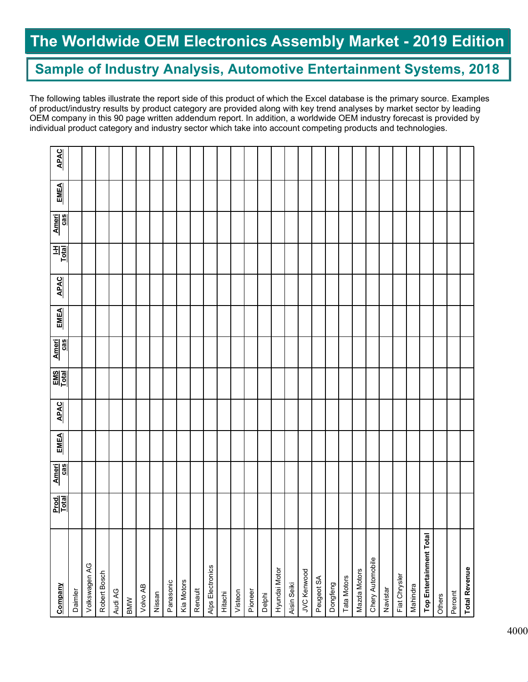### Sample of Industry Analysis, Automotive Entertainment Systems, 2018

The following tables illustrate the report side of this product of which the Excel database is the primary source. Examples of product/industry results by product category are provided along with key trend analyses by market sector by leading OEM company in this 90 page written addendum report. In addition, a worldwide OEM industry forecast is provided by individual product category and industry sector which take into account competing products and technologies.

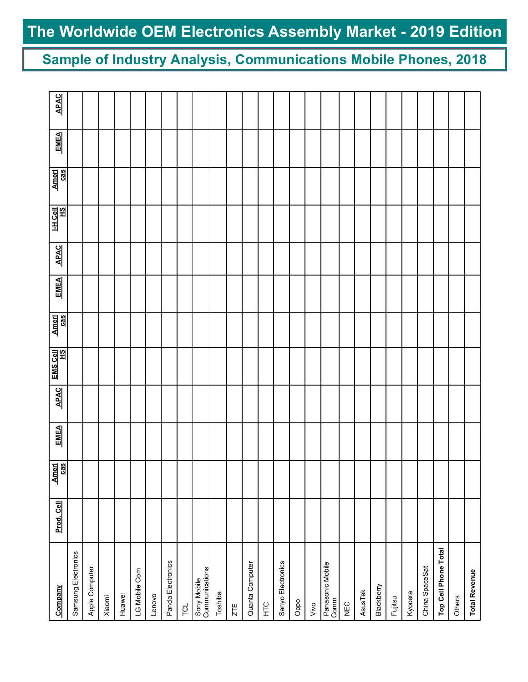Sample of Industry Analysis, Communications Mobile Phones, 2018

| Company                       | Prod. Cell | $\frac{1}{2}$<br>ᅨ | <b>EMEA</b> | <b>APAC</b> | EMS Cell | Ameri<br>cas | <b>EMEA</b> | <b>APAC</b> | $\frac{1 \cdot H \cdot C \cdot \theta \cdot I}{H \cdot S}$ | Ameri<br>Cas | <b>EMEA</b> | <b>APAC</b> |
|-------------------------------|------------|--------------------|-------------|-------------|----------|--------------|-------------|-------------|------------------------------------------------------------|--------------|-------------|-------------|
| Samsung Electronics           |            |                    |             |             |          |              |             |             |                                                            |              |             |             |
| Apple Computer                |            |                    |             |             |          |              |             |             |                                                            |              |             |             |
| Xiaomi                        |            |                    |             |             |          |              |             |             |                                                            |              |             |             |
| Huawei                        |            |                    |             |             |          |              |             |             |                                                            |              |             |             |
| LG Mobile Com                 |            |                    |             |             |          |              |             |             |                                                            |              |             |             |
| Lenovo                        |            |                    |             |             |          |              |             |             |                                                            |              |             |             |
| Panda Electronics             |            |                    |             |             |          |              |             |             |                                                            |              |             |             |
| <b>TOL</b>                    |            |                    |             |             |          |              |             |             |                                                            |              |             |             |
| Sony Mobile<br>Communications |            |                    |             |             |          |              |             |             |                                                            |              |             |             |
| Toshiba                       |            |                    |             |             |          |              |             |             |                                                            |              |             |             |
| ZTE                           |            |                    |             |             |          |              |             |             |                                                            |              |             |             |
| Quanta Computer               |            |                    |             |             |          |              |             |             |                                                            |              |             |             |
| E <sub>C</sub>                |            |                    |             |             |          |              |             |             |                                                            |              |             |             |
| Sanyo Electronics             |            |                    |             |             |          |              |             |             |                                                            |              |             |             |
| Oppo                          |            |                    |             |             |          |              |             |             |                                                            |              |             |             |
| Vivo                          |            |                    |             |             |          |              |             |             |                                                            |              |             |             |
| Panasonic Mobile<br>Comm      |            |                    |             |             |          |              |             |             |                                                            |              |             |             |
| NEC                           |            |                    |             |             |          |              |             |             |                                                            |              |             |             |
| <b>AsusTek</b>                |            |                    |             |             |          |              |             |             |                                                            |              |             |             |
| Blackberry                    |            |                    |             |             |          |              |             |             |                                                            |              |             |             |
| Fujitsu                       |            |                    |             |             |          |              |             |             |                                                            |              |             |             |
| Kyocera                       |            |                    |             |             |          |              |             |             |                                                            |              |             |             |
| China SpaceSat                |            |                    |             |             |          |              |             |             |                                                            |              |             |             |
| Top Cell Phone Total          |            |                    |             |             |          |              |             |             |                                                            |              |             |             |
| Others                        |            |                    |             |             |          |              |             |             |                                                            |              |             |             |
| <b>Total Revenue</b>          |            |                    |             |             |          |              |             |             |                                                            |              |             |             |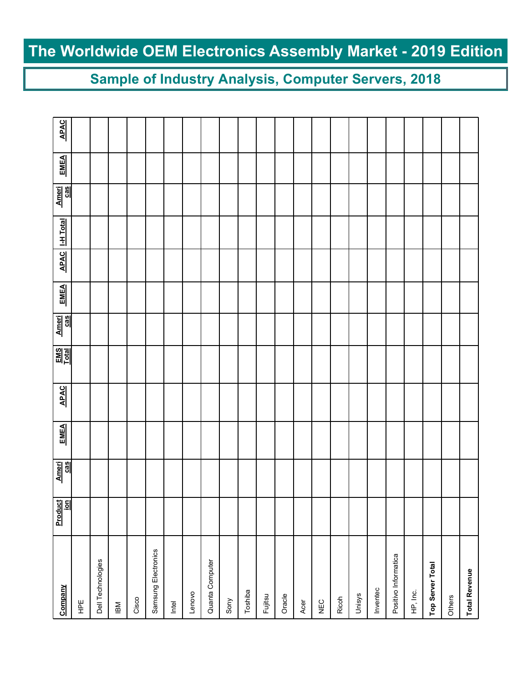### Sample of Industry Analysis, Computer Servers, 2018

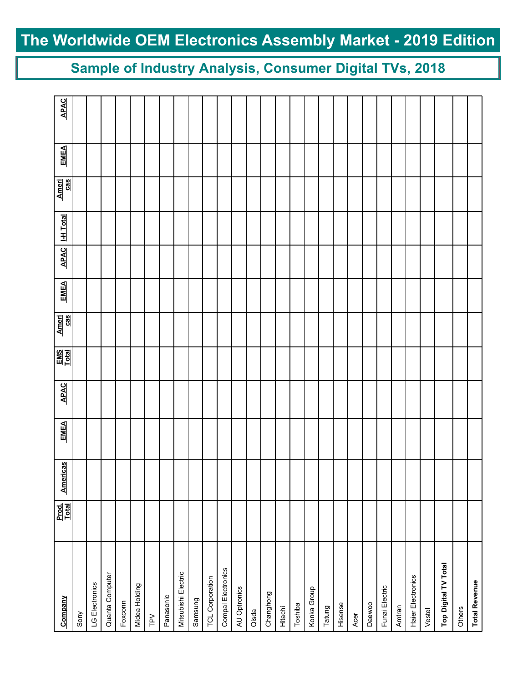Sample of Industry Analysis, Consumer Digital TVs, 2018

| Company                   | Prod.<br><u>Total</u> | Americas | <b>EMEA</b> | <b>APAC</b> | $\frac{\text{EMS}}{\text{Total}}$ | Ameri<br>Cas | <b>EMEA</b> | <b>APAC</b> | <b>I-H</b> Total | Ameri<br>Cas | <b>EMEA</b> | <b>APAC</b> |
|---------------------------|-----------------------|----------|-------------|-------------|-----------------------------------|--------------|-------------|-------------|------------------|--------------|-------------|-------------|
| Sony                      |                       |          |             |             |                                   |              |             |             |                  |              |             |             |
| LG Electronics            |                       |          |             |             |                                   |              |             |             |                  |              |             |             |
| Quanta Computer           |                       |          |             |             |                                   |              |             |             |                  |              |             |             |
| Foxconn                   |                       |          |             |             |                                   |              |             |             |                  |              |             |             |
| Midea Holding             |                       |          |             |             |                                   |              |             |             |                  |              |             |             |
| $\geq$                    |                       |          |             |             |                                   |              |             |             |                  |              |             |             |
| Panasonic                 |                       |          |             |             |                                   |              |             |             |                  |              |             |             |
| Mitsubishi Electric       |                       |          |             |             |                                   |              |             |             |                  |              |             |             |
| Samsung                   |                       |          |             |             |                                   |              |             |             |                  |              |             |             |
| TCL Corporation           |                       |          |             |             |                                   |              |             |             |                  |              |             |             |
| <b>Compal Electronics</b> |                       |          |             |             |                                   |              |             |             |                  |              |             |             |
| AU Optronics              |                       |          |             |             |                                   |              |             |             |                  |              |             |             |
| Qisda                     |                       |          |             |             |                                   |              |             |             |                  |              |             |             |
| Changhong                 |                       |          |             |             |                                   |              |             |             |                  |              |             |             |
| Hitachi                   |                       |          |             |             |                                   |              |             |             |                  |              |             |             |
| Toshiba                   |                       |          |             |             |                                   |              |             |             |                  |              |             |             |
| Konka Group               |                       |          |             |             |                                   |              |             |             |                  |              |             |             |
| Tatung                    |                       |          |             |             |                                   |              |             |             |                  |              |             |             |
| Hisense                   |                       |          |             |             |                                   |              |             |             |                  |              |             |             |
| Acer                      |                       |          |             |             |                                   |              |             |             |                  |              |             |             |
| Daewoo                    |                       |          |             |             |                                   |              |             |             |                  |              |             |             |
| Funai Electric            |                       |          |             |             |                                   |              |             |             |                  |              |             |             |
| Amtran                    |                       |          |             |             |                                   |              |             |             |                  |              |             |             |
| Haier Electronics         |                       |          |             |             |                                   |              |             |             |                  |              |             |             |
| Vestel                    |                       |          |             |             |                                   |              |             |             |                  |              |             |             |
| Top Digital TV Total      |                       |          |             |             |                                   |              |             |             |                  |              |             |             |
| Others                    |                       |          |             |             |                                   |              |             |             |                  |              |             |             |
| <b>Total Revenue</b>      |                       |          |             |             |                                   |              |             |             |                  |              |             |             |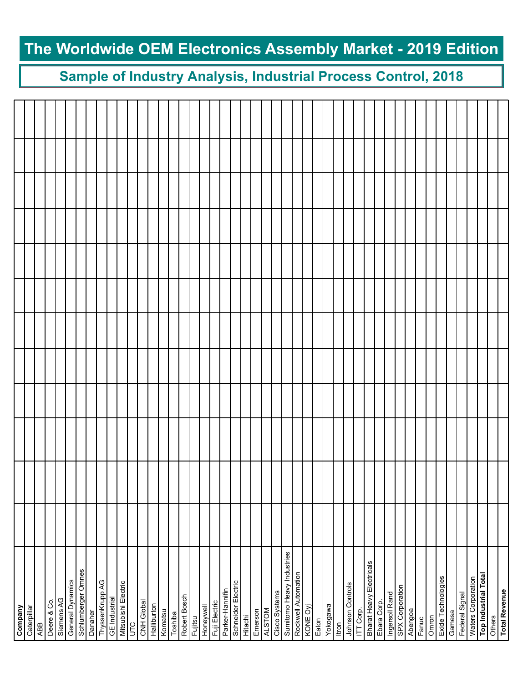### Sample of Industry Analysis, Industrial Process Control, 2018

| Company                         |  |  |  |  |  |  |
|---------------------------------|--|--|--|--|--|--|
| Caterpillar                     |  |  |  |  |  |  |
| <b>ABB</b>                      |  |  |  |  |  |  |
| Deere & Co.                     |  |  |  |  |  |  |
| Siemens AG                      |  |  |  |  |  |  |
| General Dynamics                |  |  |  |  |  |  |
| Schlumberger Omnes              |  |  |  |  |  |  |
| Danaher                         |  |  |  |  |  |  |
| ThyssenKrupp AG                 |  |  |  |  |  |  |
| <b>GE</b> Industrial            |  |  |  |  |  |  |
| Mitsubishi Electric             |  |  |  |  |  |  |
| <b>UTC</b>                      |  |  |  |  |  |  |
| CNH Global                      |  |  |  |  |  |  |
| Halliburton                     |  |  |  |  |  |  |
| Komatsu                         |  |  |  |  |  |  |
| Toshiba                         |  |  |  |  |  |  |
| Robert Bosch                    |  |  |  |  |  |  |
| Fujitsu                         |  |  |  |  |  |  |
| Honeywell                       |  |  |  |  |  |  |
| Fuji Electric                   |  |  |  |  |  |  |
| Parker-Hannifin                 |  |  |  |  |  |  |
| Schneider Electric              |  |  |  |  |  |  |
| Hitachi                         |  |  |  |  |  |  |
| Emerson                         |  |  |  |  |  |  |
| <b>ALSTOM</b>                   |  |  |  |  |  |  |
| Cisco Systems                   |  |  |  |  |  |  |
| Sumitomo Heavy Industries       |  |  |  |  |  |  |
| Rockwell Automation             |  |  |  |  |  |  |
| KONE Oyj                        |  |  |  |  |  |  |
| Eaton                           |  |  |  |  |  |  |
| Yokogawa                        |  |  |  |  |  |  |
| Itron                           |  |  |  |  |  |  |
| Johnson Controls                |  |  |  |  |  |  |
| ITT Corp.                       |  |  |  |  |  |  |
| <b>Bharat Heavy Electricals</b> |  |  |  |  |  |  |
| Ebara Corp.                     |  |  |  |  |  |  |
| Ingersoll Rand                  |  |  |  |  |  |  |
| SPX Corporation                 |  |  |  |  |  |  |
| Abengoa                         |  |  |  |  |  |  |
| Fanuc                           |  |  |  |  |  |  |
| Omron                           |  |  |  |  |  |  |
| Exide Technologies              |  |  |  |  |  |  |
| Gamesa                          |  |  |  |  |  |  |
| Federal Signal                  |  |  |  |  |  |  |
| Waters Corporation              |  |  |  |  |  |  |
| <b>Top Industrial Total</b>     |  |  |  |  |  |  |
| Others                          |  |  |  |  |  |  |
| <b>Total Revenue</b>            |  |  |  |  |  |  |
|                                 |  |  |  |  |  |  |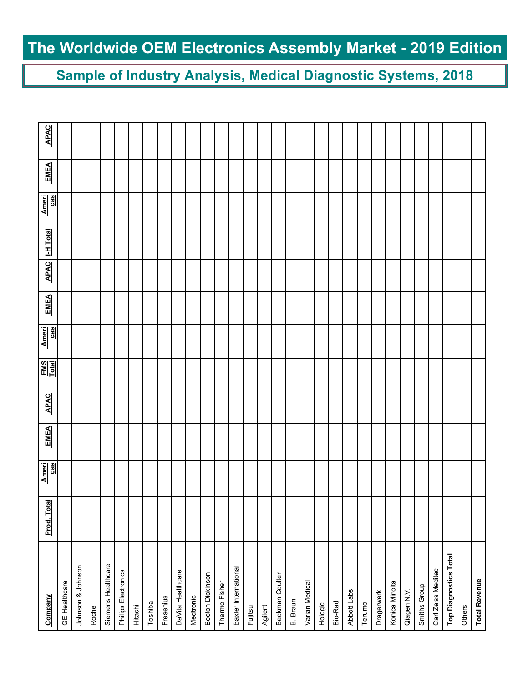Sample of Industry Analysis, Medical Diagnostic Systems, 2018

| Company                      | Prod. Total | Ameri<br>cas | <b>EMEA</b> | <b>APAC</b> | $\frac{EMS}{Total}$ | Ameri<br>cas | <b>EMEA</b> | <b>APAC</b> | <b>I-H Total</b> | Ameri<br>cas | <b>EMEA</b> | <b>APAC</b> |
|------------------------------|-------------|--------------|-------------|-------------|---------------------|--------------|-------------|-------------|------------------|--------------|-------------|-------------|
| <b>GE Healthcare</b>         |             |              |             |             |                     |              |             |             |                  |              |             |             |
| Johnson & Johnson            |             |              |             |             |                     |              |             |             |                  |              |             |             |
| Roche                        |             |              |             |             |                     |              |             |             |                  |              |             |             |
| Siemens Healthcare           |             |              |             |             |                     |              |             |             |                  |              |             |             |
| Philips Electronics          |             |              |             |             |                     |              |             |             |                  |              |             |             |
| Hitachi                      |             |              |             |             |                     |              |             |             |                  |              |             |             |
| Toshiba                      |             |              |             |             |                     |              |             |             |                  |              |             |             |
| Fresenius                    |             |              |             |             |                     |              |             |             |                  |              |             |             |
| DaVita Healthcare            |             |              |             |             |                     |              |             |             |                  |              |             |             |
| Medtronic                    |             |              |             |             |                     |              |             |             |                  |              |             |             |
| Becton Dickinson             |             |              |             |             |                     |              |             |             |                  |              |             |             |
| Thermo Fisher                |             |              |             |             |                     |              |             |             |                  |              |             |             |
| Baxter International         |             |              |             |             |                     |              |             |             |                  |              |             |             |
| Fujitsu                      |             |              |             |             |                     |              |             |             |                  |              |             |             |
| Agilent                      |             |              |             |             |                     |              |             |             |                  |              |             |             |
| Beckman Coulter              |             |              |             |             |                     |              |             |             |                  |              |             |             |
| B. Braun                     |             |              |             |             |                     |              |             |             |                  |              |             |             |
| Varian Medical               |             |              |             |             |                     |              |             |             |                  |              |             |             |
| Hologic                      |             |              |             |             |                     |              |             |             |                  |              |             |             |
| Bio-Rad                      |             |              |             |             |                     |              |             |             |                  |              |             |             |
| Abbott Labs                  |             |              |             |             |                     |              |             |             |                  |              |             |             |
| Terumo                       |             |              |             |             |                     |              |             |             |                  |              |             |             |
| Dragerwerk                   |             |              |             |             |                     |              |             |             |                  |              |             |             |
| Konica Minolta               |             |              |             |             |                     |              |             |             |                  |              |             |             |
| Qiagen N.V.                  |             |              |             |             |                     |              |             |             |                  |              |             |             |
| Smiths Group                 |             |              |             |             |                     |              |             |             |                  |              |             |             |
| Carl Zeiss Meditec           |             |              |             |             |                     |              |             |             |                  |              |             |             |
| <b>Top Diagnostics Total</b> |             |              |             |             |                     |              |             |             |                  |              |             |             |
| Others                       |             |              |             |             |                     |              |             |             |                  |              |             |             |
| <b>Total Revenue</b>         |             |              |             |             |                     |              |             |             |                  |              |             |             |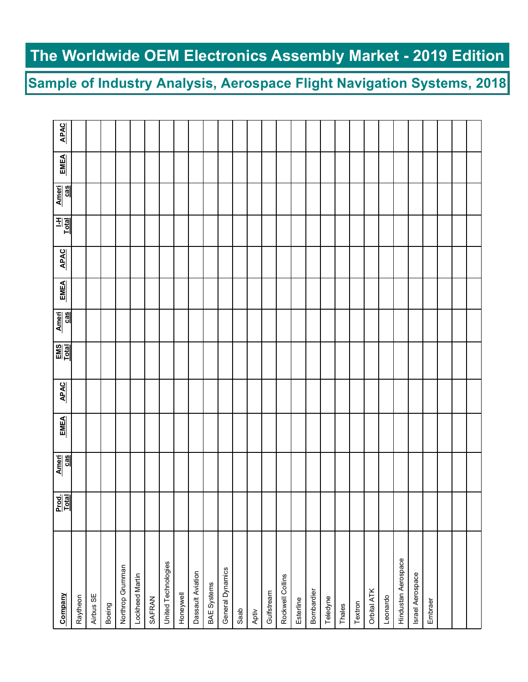Sample of Industry Analysis, Aerospace Flight Navigation Systems, 2018